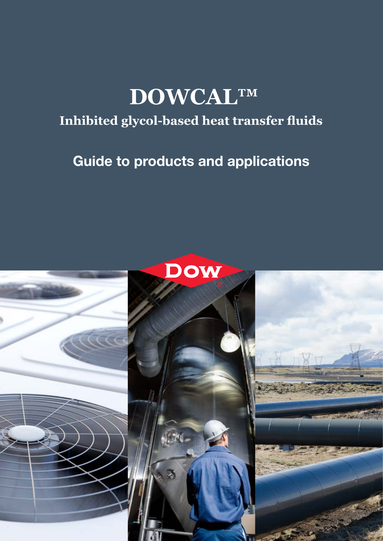# **DOWCAL™**

### **Inhibited glycol-based heat transfer fluids**

## Guide to products and applications

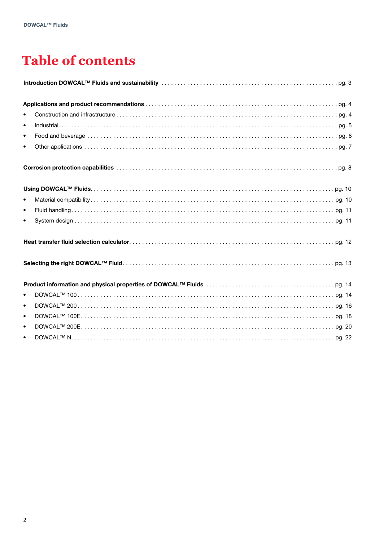### **Table of contents**

| $\bullet$ |  |
|-----------|--|
| $\bullet$ |  |
| $\bullet$ |  |
| $\bullet$ |  |
|           |  |
|           |  |
| $\bullet$ |  |
| $\bullet$ |  |
| $\bullet$ |  |
|           |  |
|           |  |
|           |  |
| $\bullet$ |  |
| $\bullet$ |  |
| $\bullet$ |  |
| $\bullet$ |  |
| $\bullet$ |  |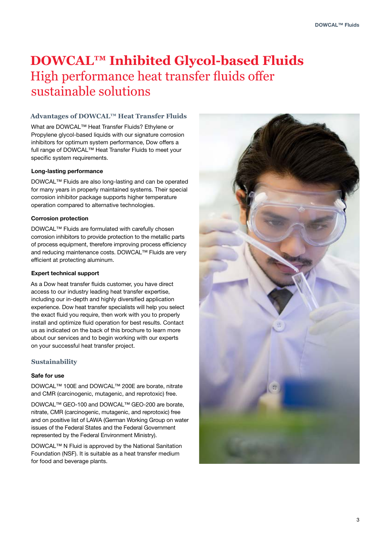### **DOWCAL™ Inhibited Glycol-based Fluids**  High performance heat transfer fluids offer sustainable solutions

#### **Advantages of DOWCAL™ Heat Transfer Fluids**

What are DOWCAL™ Heat Transfer Fluids? Ethylene or Propylene glycol-based liquids with our signature corrosion inhibitors for optimum system performance, Dow offers a full range of DOWCAL™ Heat Transfer Fluids to meet your specific system requirements.

#### Long-lasting performance

DOWCAL™ Fluids are also long-lasting and can be operated for many years in properly maintained systems. Their special corrosion inhibitor package supports higher temperature operation compared to alternative technologies.

#### Corrosion protection

DOWCAL™ Fluids are formulated with carefully chosen corrosion inhibitors to provide protection to the metallic parts of process equipment, therefore improving process efficiency and reducing maintenance costs. DOWCAL™ Fluids are very efficient at protecting aluminum.

#### Expert technical support

As a Dow heat transfer fluids customer, you have direct access to our industry leading heat transfer expertise, including our in-depth and highly diversified application experience. Dow heat transfer specialists will help you select the exact fluid you require, then work with you to properly install and optimize fluid operation for best results. Contact us as indicated on the back of this brochure to learn more about our services and to begin working with our experts on your successful heat transfer project.

#### **Sustainability**

#### Safe for use

DOWCAL™ 100E and DOWCAL™ 200E are borate, nitrate and CMR (carcinogenic, mutagenic, and reprotoxic) free.

DOWCAL™ GEO-100 and DOWCAL™ GEO-200 are borate, nitrate, CMR (carcinogenic, mutagenic, and reprotoxic) free and on positive list of LAWA (German Working Group on water issues of the Federal States and the Federal Government represented by the Federal Environment Ministry).

DOWCAL™ N Fluid is approved by the National Sanitation Foundation (NSF). It is suitable as a heat transfer medium for food and beverage plants.

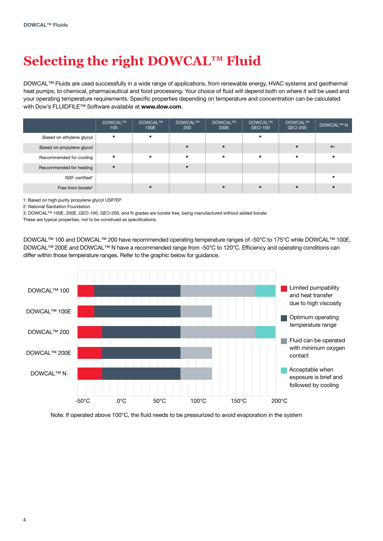# **Selecting the right DOWCAL™ Fluid**

DOWCAL™ Fluids are used successfully in a wide range of applications, from renewable energy, HVAC systems and geothermal heat pumps, to chemical, pharmaceutical and food processing. Your choice of fluid will depend both on where it will be used and your operating temperature requirements. Specific properties depending on temperature and concentration can be calculated with Dow's FLUIDFILE™ Software available at www.dow.com.

|                               | <b>DOWCAL™</b><br>100 | <b>DOWCAL™</b><br>100E | DOWCAL™<br>200 | DOWCAL™<br>200E | DOWCAL™<br>GEO-100 | DOWCAL™<br>GEO-200 | <b>DOWCAL™ N</b> |
|-------------------------------|-----------------------|------------------------|----------------|-----------------|--------------------|--------------------|------------------|
| Based on ethylene glycol      | $\star$               | $\star$                |                |                 | $\star$            |                    |                  |
| Based on propylene glycol     |                       |                        | $\star$        | $\star$         |                    | $\star$            | $*1$             |
| Recommended for cooling       | $\star$               | $\star$                | $\star$        | $\star$         | $\star$            | $\star$            | $\star$          |
| Recommended for heating       | $\star$               |                        | $\star$        |                 |                    |                    |                  |
| NSF certified <sup>2</sup>    |                       |                        |                |                 |                    |                    | $\star$          |
| Free from borate <sup>3</sup> |                       | $\star$                |                | $\star$         | $\star$            | $\star$            | $\star$          |

1: Based on high purity propylene glycol USP/EP

2: National Sanitation Foundation

3: DOWCAL™ 100E, 200E, GEO-100, GEO-200, and N grades are borate free, being manufactured without added borate.

These are typical properties, not to be construed as specifications.

DOWCAL™ 100 and DOWCAL™ 200 have recommended operating temperature ranges of -50°C to 175°C while DOWCAL™ 100E, DOWCAL™ 200E and DOWCAL™ N have a recommended range from -50°C to 120°C. Efficiency and operating conditions can differ within those temperature ranges. Refer to the graphic below for guidance.



Note: If operated above 100°C, the fluid needs to be pressurized to avoid evaporation in the system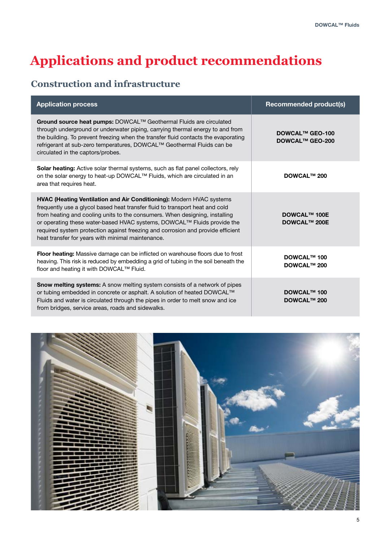### **Construction and infrastructure**

| <b>Application process</b>                                                                                                                                                                                                                                                                                                                                                                                                                                    | <b>Recommended product(s)</b>                    |
|---------------------------------------------------------------------------------------------------------------------------------------------------------------------------------------------------------------------------------------------------------------------------------------------------------------------------------------------------------------------------------------------------------------------------------------------------------------|--------------------------------------------------|
| Ground source heat pumps: DOWCAL™ Geothermal Fluids are circulated<br>through underground or underwater piping, carrying thermal energy to and from<br>the building. To prevent freezing when the transfer fluid contacts the evaporating<br>refrigerant at sub-zero temperatures, DOWCAL™ Geothermal Fluids can be<br>circulated in the captors/probes.                                                                                                      | <b>DOWCAL™ GEO-100</b><br><b>DOWCAL™ GEO-200</b> |
| <b>Solar heating:</b> Active solar thermal systems, such as flat panel collectors, rely<br>on the solar energy to heat-up DOWCAL™ Fluids, which are circulated in an<br>area that requires heat.                                                                                                                                                                                                                                                              | <b>DOWCAL™ 200</b>                               |
| <b>HVAC (Heating Ventilation and Air Conditioning):</b> Modern HVAC systems<br>frequently use a glycol based heat transfer fluid to transport heat and cold<br>from heating and cooling units to the consumers. When designing, installing<br>or operating these water-based HVAC systems, DOWCAL™ Fluids provide the<br>required system protection against freezing and corrosion and provide efficient<br>heat transfer for years with minimal maintenance. | <b>DOWCAL™ 100E</b><br><b>DOWCAL™ 200E</b>       |
| Floor heating: Massive damage can be inflicted on warehouse floors due to frost<br>heaving. This risk is reduced by embedding a grid of tubing in the soil beneath the<br>floor and heating it with DOWCAL™ Fluid.                                                                                                                                                                                                                                            | DOWCAL™ 100<br><b>DOWCAL™ 200</b>                |
| Snow melting systems: A snow melting system consists of a network of pipes<br>or tubing embedded in concrete or asphalt. A solution of heated DOWCAL™<br>Fluids and water is circulated through the pipes in order to melt snow and ice<br>from bridges, service areas, roads and sidewalks.                                                                                                                                                                  | <b>DOWCAL™ 100</b><br><b>DOWCAL™ 200</b>         |

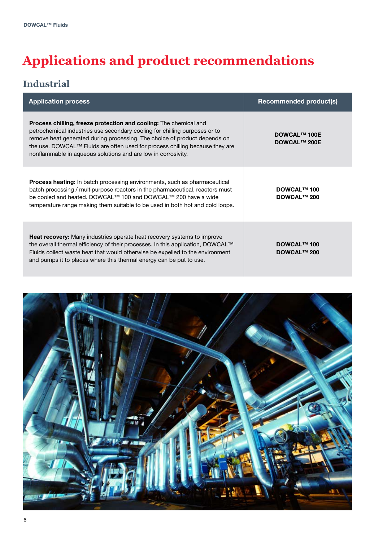### **Industrial**

| <b>Application process</b>                                                                                                                                                                                                                                                                                                                                                           | <b>Recommended product(s)</b>              |
|--------------------------------------------------------------------------------------------------------------------------------------------------------------------------------------------------------------------------------------------------------------------------------------------------------------------------------------------------------------------------------------|--------------------------------------------|
| <b>Process chilling, freeze protection and cooling:</b> The chemical and<br>petrochemical industries use secondary cooling for chilling purposes or to<br>remove heat generated during processing. The choice of product depends on<br>the use. DOWCAL™ Fluids are often used for process chilling because they are<br>nonflammable in aqueous solutions and are low in corrosivity. | <b>DOWCAL™ 100E</b><br><b>DOWCAL™ 200E</b> |
| <b>Process heating:</b> In batch processing environments, such as pharmaceutical<br>batch processing / multipurpose reactors in the pharmaceutical, reactors must<br>be cooled and heated. DOWCAL <sup>™</sup> 100 and DOWCAL <sup>™</sup> 200 have a wide<br>temperature range making them suitable to be used in both hot and cold loops.                                          | <b>DOWCAL™ 100</b><br><b>DOWCAL™ 200</b>   |
| <b>Heat recovery:</b> Many industries operate heat recovery systems to improve<br>the overall thermal efficiency of their processes. In this application, DOWCAL™<br>Fluids collect waste heat that would otherwise be expelled to the environment<br>and pumps it to places where this thermal energy can be put to use.                                                            | <b>DOWCAL™ 100</b><br><b>DOWCAL™ 200</b>   |

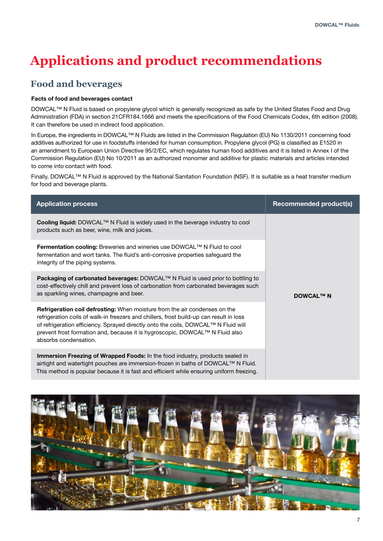### **Food and beverages**

#### Facts of food and beverages contact

DOWCAL™ N Fluid is based on propylene glycol which is generally recognized as safe by the United States Food and Drug Administration (FDA) in section 21CFR184.1666 and meets the specifications of the Food Chemicals Codex, 6th edition (2008). It can therefore be used in indirect food application.

In Europe, the ingredients in DOWCAL™ N Fluids are listed in the Commission Regulation (EU) No 1130/2011 concerning food additives authorized for use in foodstuffs intended for human consumption. Propylene glycol (PG) is classified as E1520 in an amendment to European Union Directive 95/2/EC, which regulates human food additives and it is listed in Annex I of the Commission Regulation (EU) No 10/2011 as an authorized monomer and additive for plastic materials and articles intended to come into contact with food.

Finally, DOWCAL™ N Fluid is approved by the National Sanitation Foundation (NSF). It is suitable as a heat transfer medium for food and beverage plants.

| <b>Application process</b>                                                                                                                                                                                                                                                                                                                                           | <b>Recommended product(s)</b> |
|----------------------------------------------------------------------------------------------------------------------------------------------------------------------------------------------------------------------------------------------------------------------------------------------------------------------------------------------------------------------|-------------------------------|
| Cooling liquid: DOWCAL™ N Fluid is widely used in the beverage industry to cool<br>products such as beer, wine, milk and juices.                                                                                                                                                                                                                                     |                               |
| Fermentation cooling: Breweries and wineries use DOWCAL™ N Fluid to cool<br>fermentation and wort tanks. The fluid's anti-corrosive properties safeguard the<br>integrity of the piping systems.                                                                                                                                                                     |                               |
| Packaging of carbonated beverages: DOWCAL™ N Fluid is used prior to bottling to<br>cost-effectively chill and prevent loss of carbonation from carbonated beverages such<br>as sparkling wines, champagne and beer.                                                                                                                                                  | <b>DOWCAL™ N</b>              |
| Refrigeration coil defrosting: When moisture from the air condenses on the<br>refrigeration coils of walk-in freezers and chillers, frost build-up can result in loss<br>of refrigeration efficiency. Sprayed directly onto the coils, DOWCAL™ N Fluid will<br>prevent frost formation and, because it is hygroscopic, DOWCAL™ N Fluid also<br>absorbs condensation. |                               |
| <b>Immersion Freezing of Wrapped Foods:</b> In the food industry, products sealed in<br>airtight and watertight pouches are immersion-frozen in baths of DOWCAL™ N Fluid.<br>This method is popular because it is fast and efficient while ensuring uniform freezing.                                                                                                |                               |

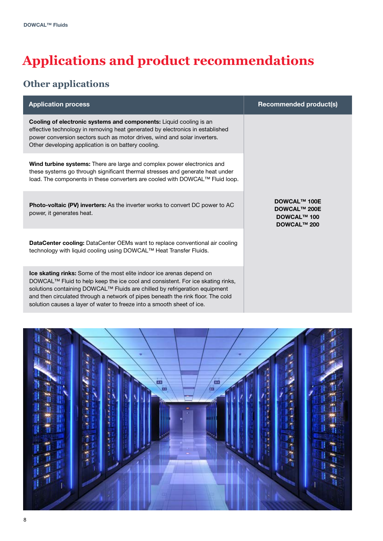### **Other applications**

| <b>Application process</b>                                                                                                                                                                                                                                                                                                                                                                         | <b>Recommended product(s)</b>                                                          |
|----------------------------------------------------------------------------------------------------------------------------------------------------------------------------------------------------------------------------------------------------------------------------------------------------------------------------------------------------------------------------------------------------|----------------------------------------------------------------------------------------|
| Cooling of electronic systems and components: Liquid cooling is an<br>effective technology in removing heat generated by electronics in established<br>power conversion sectors such as motor drives, wind and solar inverters.<br>Other developing application is on battery cooling.                                                                                                             |                                                                                        |
| Wind turbine systems: There are large and complex power electronics and<br>these systems go through significant thermal stresses and generate heat under<br>load. The components in these converters are cooled with DOWCAL™ Fluid loop.                                                                                                                                                           |                                                                                        |
| Photo-voltaic (PV) inverters: As the inverter works to convert DC power to AC<br>power, it generates heat.                                                                                                                                                                                                                                                                                         | <b>DOWCAL™ 100E</b><br><b>DOWCAL™ 200E</b><br><b>DOWCAL™ 100</b><br><b>DOWCAL™ 200</b> |
| <b>DataCenter cooling:</b> DataCenter OEMs want to replace conventional air cooling<br>technology with liquid cooling using DOWCAL™ Heat Transfer Fluids.                                                                                                                                                                                                                                          |                                                                                        |
| Ice skating rinks: Some of the most elite indoor ice arenas depend on<br>DOWCAL™ Fluid to help keep the ice cool and consistent. For ice skating rinks,<br>solutions containing DOWCAL™ Fluids are chilled by refrigeration equipment<br>and then circulated through a network of pipes beneath the rink floor. The cold<br>solution causes a layer of water to freeze into a smooth sheet of ice. |                                                                                        |

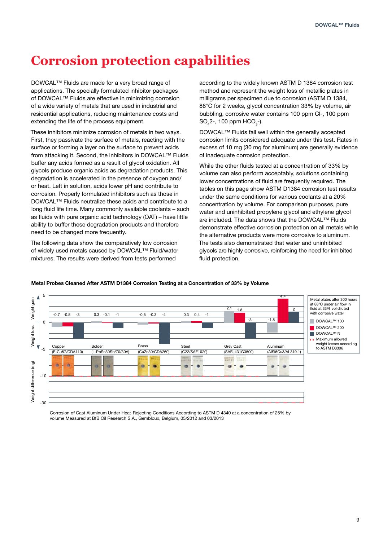### **Corrosion protection capabilities**

DOWCAL™ Fluids are made for a very broad range of applications. The specially formulated inhibitor packages of DOWCAL™ Fluids are effective in minimizing corrosion of a wide variety of metals that are used in industrial and residential applications, reducing maintenance costs and extending the life of the process equipment.

These inhibitors minimize corrosion of metals in two ways. First, they passivate the surface of metals, reacting with the surface or forming a layer on the surface to prevent acids from attacking it. Second, the inhibitors in DOWCAL™ Fluids buffer any acids formed as a result of glycol oxidation. All glycols produce organic acids as degradation products. This degradation is accelerated in the presence of oxygen and/ or heat. Left in solution, acids lower pH and contribute to corrosion. Properly formulated inhibitors such as those in DOWCAL™ Fluids neutralize these acids and contribute to a long fluid life time. Many commonly available coolants – such as fluids with pure organic acid technology (OAT) – have little ability to buffer these degradation products and therefore need to be changed more frequently.

The following data show the comparatively low corrosion of widely used metals caused by DOWCAL™ Fluid/water mixtures. The results were derived from tests performed

according to the widely known ASTM D 1384 corrosion test method and represent the weight loss of metallic plates in milligrams per specimen due to corrosion (ASTM D 1384, 88°C for 2 weeks, glycol concentration 33% by volume, air bubbling, corrosive water contains 100 ppm Cl-, 100 ppm  $SO_4$ 2-, 100 ppm HCO<sub>3</sub>-).

DOWCAL™ Fluids fall well within the generally accepted corrosion limits considered adequate under this test. Rates in excess of 10 mg (30 mg for aluminum) are generally evidence of inadequate corrosion protection.

While the other fluids tested at a concentration of 33% by volume can also perform acceptably, solutions containing lower concentrations of fluid are frequently required. The tables on this page show ASTM D1384 corrosion test results under the same conditions for various coolants at a 20% concentration by volume. For comparison purposes, pure water and uninhibited propylene glycol and ethylene glycol are included. The data shows that the DOWCAL™ Fluids demonstrate effective corrosion protection on all metals while the alternative products were more corrosive to aluminum. The tests also demonstrated that water and uninhibited glycols are highly corrosive, reinforcing the need for inhibited fluid protection.



#### Metal Probes Cleaned After ASTM D1384 Corrosion Testing at a Concentration of 33% by Volume

Corrosion of Cast Aluminum Under Heat-Rejecting Conditions According to ASTM D 4340 at a concentration of 25% by volume Measured at BfB Oil Research S.A., Gembloux, Belgium, 05/2012 and 03/2013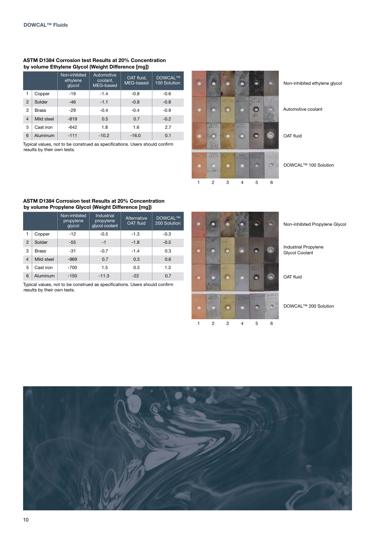#### ASTM D1384 Corrosion test Results at 20% Concentration by volume Ethylene Glycol (Weight Difference [mg])

|                |              | Non-inhibited<br>ethylene<br>glycol | Automotive<br>coolant,<br>MEG-based | OAT fluid,<br>MEG-based | <b>DOWCAL™</b><br>100 Solution |
|----------------|--------------|-------------------------------------|-------------------------------------|-------------------------|--------------------------------|
|                | Copper       | $-19$                               | $-1.4$                              | $-0.8$                  | $-0.6$                         |
| $\overline{2}$ | Solder       | $-46$                               | $-1.1$                              | $-0.8$                  | $-0.8$                         |
| 3              | <b>Brass</b> | $-29$                               | $-0.4$                              | $-0.4$                  | $-0.9$                         |
| $\overline{4}$ | Mild steel   | $-819$                              | 0.5                                 | 0.7                     | $-0.2$                         |
| 5              | Cast iron    | $-642$                              | 1.8                                 | 1.6                     | 2.7                            |
| 6              | Aluminum     | $-111$                              | $-10.2$                             | $-16.0$                 | 0.1                            |

Typical values, not to be construed as specifications. Users should confirm results by their own tests.



Non-inhibited ethylene glycol

Automotive coolant

OAT fluid

DOWCAL™ 100 Solution

#### ASTM D1384 Corrosion test Results at 20% Concentration by volume Propylene Glycol (Weight Difference [mg])

|                |              | Non-inhibited<br>propylene<br>glycol | Industrial<br>propylene<br>glycol coolant | Alternative<br><b>OAT fluid</b> | <b>DOWCAL™</b><br>200 Solution |
|----------------|--------------|--------------------------------------|-------------------------------------------|---------------------------------|--------------------------------|
|                | Copper       | $-12$                                | $-0.5$                                    | $-1.3$                          | $-0.3$                         |
| $\mathfrak{p}$ | Solder       | $-55$                                | $-1$                                      | $-1.8$                          | $-0.5$                         |
| 3              | <b>Brass</b> | $-31$                                | $-0.7$                                    | $-1.4$                          | 0.3                            |
| $\overline{4}$ | Mild steel   | $-969$                               | 0.7                                       | 0.3                             | 0.6                            |
| 5              | Cast iron    | $-700$                               | 1.5                                       | 0.3                             | 1.3                            |
| 6              | Aluminum     | $-150$                               | $-11.3$                                   | $-22$                           | 0.7                            |

Typical values, not to be construed as specifications. Users should confirm results by their own tests.

|   | <b>British Mill</b> |                       |       |                                    |                    |
|---|---------------------|-----------------------|-------|------------------------------------|--------------------|
|   | <b>The Color</b>    | <b>Term File</b><br>œ |       |                                    |                    |
| œ |                     | <b>TELEVIS</b>        | 图片区また | <b>SPECTIVE</b><br><b>CONTRACT</b> |                    |
|   | <b>MORE</b>         | H.                    |       | <b>ACRES SERVICE</b>               | 82, 21% +<br>66875 |
|   | $\overline{c}$      | 3                     | 4     | 5                                  | 6                  |

Non-inhibited Propylene Glycol

Industrial Propylene Glycol Coolant

OAT fluid

DOWCAL™ 200 Solution

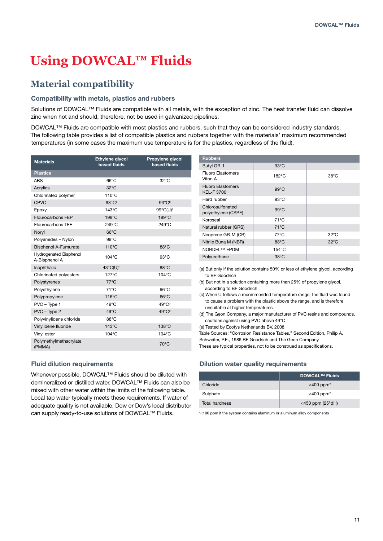## **Using DOWCAL™ Fluids**

### **Material compatibility**

#### Compatibility with metals, plastics and rubbers

Solutions of DOWCAL<sup>™</sup> Fluids are compatible with all metals, with the exception of zinc. The heat transfer fluid can dissolve zinc when hot and should, therefore, not be used in galvanized pipelines.

DOWCAL™ Fluids are compatible with most plastics and rubbers, such that they can be considered industry standards. The following table provides a list of compatible plastics and rubbers together with the materials' maximum recommended temperatures (in some cases the maximum use temperature is for the plastics, regardless of the fluid).

| <b>Materials</b>                               | <b>Ethylene glycol</b><br>based fluids | Propylene glycol<br>based fluids |
|------------------------------------------------|----------------------------------------|----------------------------------|
| <b>Plastics</b>                                |                                        |                                  |
| <b>ABS</b>                                     | $66^{\circ}$ C                         | $32^{\circ}$ C                   |
| Acrylics                                       | $32^{\circ}$ C                         |                                  |
| Chlorinated polymer                            | $110^{\circ}$ C                        |                                  |
| <b>CPVC</b>                                    | $93^{\circ}C^{\circ}$                  | $93^{\circ}C^{\circ}$            |
| Epoxy                                          | $143^{\circ}$ C                        | 99°C(U)°                         |
| Flourocarbons FEP                              | 199°C                                  | 199°C                            |
| Flourocarbons TFE                              | 249°C                                  | 249°C                            |
| Noryl                                          | $66^{\circ}$ C                         |                                  |
| Polyamides - Nylon                             | $99^{\circ}$ C                         |                                  |
| <b>Bisphenol A-Fumurate</b>                    | 110°C                                  | $88^{\circ}$ C                   |
| <b>Hydrogenated Bisphenol</b><br>A-Bisphenol A | $104^\circ C$                          | $93^{\circ}$ C                   |
| Isophthalic                                    | 43°C(U)°                               | $88^{\circ}$ C                   |
| Chlorinated polyesters                         | $127^\circ C$                          | $104^{\circ}$ C                  |
| Polystyrenes                                   | $77^{\circ}$ C                         |                                  |
| Polyethylene                                   | $71^{\circ}$ C                         | $66^{\circ}$ C                   |
| Polypropylene                                  | 116°C                                  | $66^{\circ}$ C                   |
| PVC - Type 1                                   | $49^{\circ}$ C                         | 49°C <sup>d</sup>                |
| PVC - Type 2                                   | 49°C                                   | 49°C <sup>d</sup>                |
| Polyvinylidene chloride                        | 88°C                                   |                                  |
| Vinylidene fluoride                            | $143^{\circ}$ C                        | $138^{\circ}$ C                  |
| Vinyl ester                                    | 104°C                                  | 104°C                            |
| Polymethylmethacrylate<br>(PMMA)               |                                        | $70^{\circ}$ C                   |

#### Fluid dilution requirements

Whenever possible, DOWCAL™ Fluids should be diluted with demineralized or distilled water. DOWCAL™ Fluids can also be mixed with other water within the limits of the following table. Local tap water typically meets these requirements. If water of adequate quality is not available, Dow or Dow's local distributor can supply ready-to-use solutions of DOWCAL™ Fluids.

| <b>Rubbers</b>                                |                 |                |
|-----------------------------------------------|-----------------|----------------|
| Butyl GR-1                                    | $93^{\circ}$ C  |                |
| <b>Fluoro Elastomers</b><br>Viton A           | $182^{\circ}$ C | $38^{\circ}$ C |
| <b>Fluoro Elastomers</b><br><b>KEL-F 3700</b> | $99^{\circ}$ C  |                |
| Hard rubber                                   | $93^{\circ}$ C  |                |
| Chlorosulfonated<br>polyethylene (CSPE)       | $99^{\circ}$ C  |                |
| Koroseal                                      | $71^{\circ}$ C  |                |
| Natural rubber (GRS)                          | $71^{\circ}$ C  |                |
| Neoprene GR-M (CR)                            | $77^{\circ}$ C  | $32^{\circ}$ C |
| Nitrile Buna M (NBR)                          | 88°C            | $32^{\circ}$ C |
| NORDEL <sup>™</sup> EPDM                      | $154^{\circ}$ C |                |
| Polyurethane                                  | $38^{\circ}$ C  |                |

(a) But only if the solution contains 50% or less of ethylene glycol, according to BF Goodrich

(b) But not in a solution containing more than 25% of propylene glycol, according to BF Goodrich

(c) When U follows a recommended temperature range, the fluid was found to cause a problem with the plastic above the range, and is therefore unsuitable at higher temperatures

(d) The Geon Company, a major manufacturer of PVC resins and compounds, cautions against using PVC above 49°C

(e) Tested by Ecofys Netherlands BV, 2008

Table Sources: "Corrosion Resistance Tables," Second Edition, Philip A.

Schweiter, P.E., 1986 BF Goodrich and The Geon Company

These are typical properties, not to be construed as specifications.

#### Dilution water quality requirements

|                | <b>DOWCAL™ Fluids</b>          |
|----------------|--------------------------------|
| Chloride       | $<$ 400 ppm <sup>*</sup>       |
| Sulphate       | $<$ 400 ppm <sup>*</sup>       |
| Total hardness | $<$ 450 ppm (25 $^{\circ}$ dH) |

\*<100 ppm if the system contains aluminum or aluminum alloy components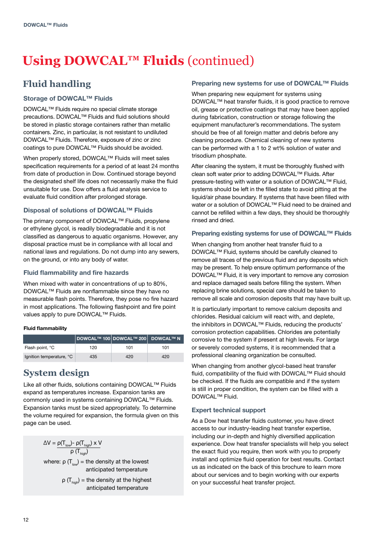# **Using DOWCAL™ Fluids** (continued)

### **Fluid handling**

#### Storage of DOWCAL™ Fluids

DOWCAL™ Fluids require no special climate storage precautions. DOWCAL™ Fluids and fluid solutions should be stored in plastic storage containers rather than metallic containers. Zinc, in particular, is not resistant to undiluted DOWCAL™ Fluids. Therefore, exposure of zinc or zinc coatings to pure DOWCAL™ Fluids should be avoided.

When properly stored, DOWCAL™ Fluids will meet sales specification requirements for a period of at least 24 months from date of production in Dow. Continued storage beyond the designated shelf life does not necessarily make the fluid unsuitable for use. Dow offers a fluid analysis service to evaluate fluid condition after prolonged storage.

#### Disposal of solutions of DOWCAL™ Fluids

The primary component of DOWCAL™ Fluids, propylene or ethylene glycol, is readily biodegradable and it is not classified as dangerous to aquatic organisms. However, any disposal practice must be in compliance with all local and national laws and regulations. Do not dump into any sewers, on the ground, or into any body of water.

#### Fluid flammability and fire hazards

When mixed with water in concentrations of up to 80%, DOWCAL™ Fluids are nonflammable since they have no measurable flash points. Therefore, they pose no fire hazard in most applications. The following flashpoint and fire point values apply to pure DOWCAL™ Fluids.

#### Fluid flammability

|                          |     | <b>DOWCAL™ 100 DOWCAL™ 200 DOWCAL™ N</b> |     |
|--------------------------|-----|------------------------------------------|-----|
| Flash point, °C          | 120 | 101                                      | 101 |
| Ignition temperature, °C | 435 | 420                                      | 420 |

### **System design**

Like all other fluids, solutions containing DOWCAL™ Fluids expand as temperatures increase. Expansion tanks are commonly used in systems containing DOWCAL™ Fluids. Expansion tanks must be sized appropriately. To determine the volume required for expansion, the formula given on this page can be used.

> $\Delta V = \rho(T_{low})$ -  $\rho(T_{high}) \times V$  $ρ(T_{high})$

where:  $\rho(T_{low})$  = the density at the lowest anticipated temperature

> $\rho$  (T<sub>high</sub>) = the density at the highest anticipated temperature

#### Preparing new systems for use of DOWCAL™ Fluids

When preparing new equipment for systems using DOWCAL™ heat transfer fluids, it is good practice to remove oil, grease or protective coatings that may have been applied during fabrication, construction or storage following the equipment manufacturer's recommendations. The system should be free of all foreign matter and debris before any cleaning procedure. Chemical cleaning of new systems can be performed with a 1 to 2 wt% solution of water and trisodium phosphate.

After cleaning the system, it must be thoroughly flushed with clean soft water prior to adding DOWCAL™ Fluids. After pressure-testing with water or a solution of DOWCAL™ Fluid, systems should be left in the filled state to avoid pitting at the liquid/air phase boundary. If systems that have been filled with water or a solution of DOWCAL™ Fluid need to be drained and cannot be refilled within a few days, they should be thoroughly rinsed and dried.

#### Preparing existing systems for use of DOWCAL™ Fluids

When changing from another heat transfer fluid to a DOWCAL™ Fluid, systems should be carefully cleaned to remove all traces of the previous fluid and any deposits which may be present. To help ensure optimum performance of the DOWCAL™ Fluid, it is very important to remove any corrosion and replace damaged seals before filling the system. When replacing brine solutions, special care should be taken to remove all scale and corrosion deposits that may have built up.

It is particularly important to remove calcium deposits and chlorides. Residual calcium will react with, and deplete, the inhibitors in DOWCAL™ Fluids, reducing the products' corrosion protection capabilities. Chlorides are potentially corrosive to the system if present at high levels. For large or severely corroded systems, it is recommended that a professional cleaning organization be consulted.

When changing from another glycol-based heat transfer fluid, compatibility of the fluid with DOWCAL™ Fluid should be checked. If the fluids are compatible and if the system is still in proper condition, the system can be filled with a DOWCAL<sup>™</sup> Fluid.

#### Expert technical support

As a Dow heat transfer fluids customer, you have direct access to our industry-leading heat transfer expertise, including our in-depth and highly diversified application experience. Dow heat transfer specialists will help you select the exact fluid you require, then work with you to properly install and optimize fluid operation for best results. Contact us as indicated on the back of this brochure to learn more about our services and to begin working with our experts on your successful heat transfer project.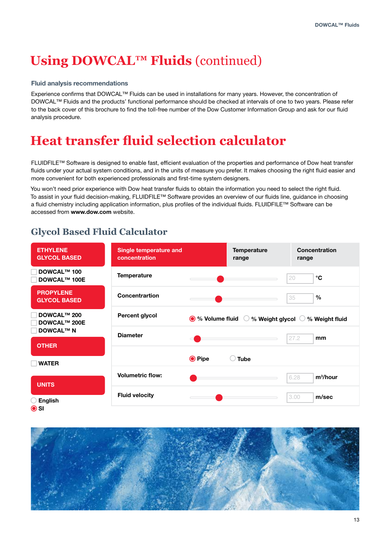## **Using DOWCAL™ Fluids** (continued)

#### Fluid analysis recommendations

Experience confirms that DOWCAL™ Fluids can be used in installations for many years. However, the concentration of DOWCAL™ Fluids and the products' functional performance should be checked at intervals of one to two years. Please refer to the back cover of this brochure to find the toll-free number of the Dow Customer Information Group and ask for our fluid analysis procedure.

### **Heat transfer fluid selection calculator**

FLUIDFILE™ Software is designed to enable fast, efficient evaluation of the properties and performance of Dow heat transfer fluids under your actual system conditions, and in the units of measure you prefer. It makes choosing the right fluid easier and more convenient for both experienced professionals and first-time system designers.

You won't need prior experience with Dow heat transfer fluids to obtain the information you need to select the right fluid. To assist in your fluid decision-making, FLUIDFILE™ Software provides an overview of our fluids line, guidance in choosing a fluid chemistry including application information, plus profiles of the individual fluids. FLUIDFILE™ Software can be accessed from www.dow.com website.

### **Glycol Based Fluid Calculator**

| <b>ETHYLENE</b><br><b>GLYCOL BASED</b>    | Single temperature and<br>concentration |                                  | <b>Temperature</b><br>range          | <b>Concentration</b><br>range |
|-------------------------------------------|-----------------------------------------|----------------------------------|--------------------------------------|-------------------------------|
| <b>DOWCAL™ 100</b><br><b>DOWCAL™ 100E</b> | <b>Temperature</b>                      |                                  |                                      | $\rm ^{\circ}C$<br>20         |
| <b>PROPYLENE</b><br><b>GLYCOL BASED</b>   | Concentrartion                          |                                  |                                      | $\frac{0}{0}$<br>35           |
| <b>DOWCAL™ 200</b><br><b>DOWCAL™ 200E</b> | <b>Percent glycol</b>                   | $\bullet$ % Volume fluid $\circ$ | % Weight glycol $~\circlearrowright$ | % Weight fluid                |
| <b>DOWCAL™ N</b>                          | <b>Diameter</b>                         |                                  |                                      | 27.2<br>mm                    |
| <b>OTHER</b>                              |                                         |                                  |                                      |                               |
| <b>WATER</b>                              |                                         | <b>◎</b> Pipe                    | <b>Tube</b>                          |                               |
| <b>UNITS</b>                              | <b>Volumetric flow:</b>                 |                                  |                                      | $m^3/h$ our<br>6.28           |
| <b>English</b><br>$\odot$ SI              | <b>Fluid velocity</b>                   |                                  |                                      | 3.00<br>m/sec                 |

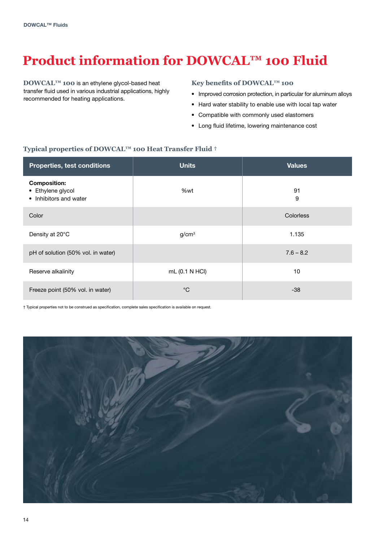# **Product information for DOWCAL™ 100 Fluid**

**DOWCAL™ 100** is an ethylene glycol-based heat transfer fluid used in various industrial applications, highly recommended for heating applications.

#### **Key benefits of DOWCAL™ 100**

- Improved corrosion protection, in particular for aluminum alloys
- Hard water stability to enable use with local tap water
- Compatible with commonly used elastomers
- Long fluid lifetime, lowering maintenance cost

#### **Typical properties of DOWCAL™ 100 Heat Transfer Fluid †**

| Properties, test conditions                                        | Units             | <b>Values</b>    |
|--------------------------------------------------------------------|-------------------|------------------|
| <b>Composition:</b><br>• Ethylene glycol<br>• Inhibitors and water | %wt               | 91<br>9          |
| Color                                                              |                   | <b>Colorless</b> |
| Density at 20°C                                                    | g/cm <sup>3</sup> | 1.135            |
| pH of solution (50% vol. in water)                                 |                   | $7.6 - 8.2$      |
| Reserve alkalinity                                                 | mL (0.1 N HCl)    | 10               |
| Freeze point (50% vol. in water)                                   | $^{\circ}C$       | $-38$            |

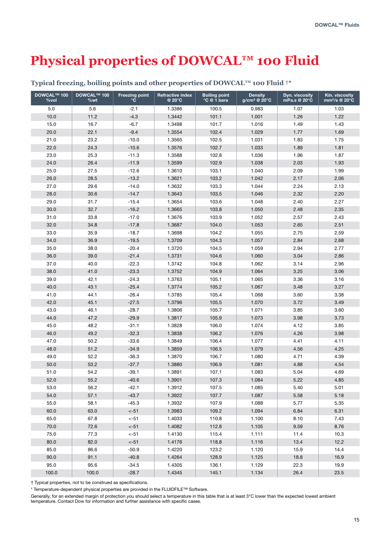## **Physical properties of DOWCAL™ 100 Fluid**

| <b>DOWCAL™ 100</b><br>%vol | <b>DOWCAL™ 100</b><br>%wt | <b>Freezing point</b><br>$^{\circ}$ C | <b>Refractive index</b><br>@ 20°C | <b>Boiling point</b><br>°C @ 1 bara | <b>Density</b><br>g/cm <sup>3</sup> @ 20°C | Dyn. viscosity<br>mPa.s @ 20°C | Kin. viscosity<br>mm <sup>2</sup> /s @ 20°C |
|----------------------------|---------------------------|---------------------------------------|-----------------------------------|-------------------------------------|--------------------------------------------|--------------------------------|---------------------------------------------|
| 5.0                        | 5.6                       | $-2.1$                                | 1.3386                            | 100.5                               | 0.983                                      | 1.07                           | 1.03                                        |
| 10.0                       | 11.2                      | $-4.3$                                | 1.3442                            | 101.1                               | 1.001                                      | 1.26                           | 1.22                                        |
| 15.0                       | 16.7                      | $-6.7$                                | 1.3498                            | 101.7                               | 1.016                                      | 1.49                           | 1.43                                        |
| 20.0                       | 22.1                      | $-9.4$                                | 1.3554                            | 102.4                               | 1.029                                      | 1.77                           | 1.69                                        |
| 21.0                       | 23.2                      | $-10.0$                               | 1.3565                            | 102.5                               | 1.031                                      | 1.83                           | 1.75                                        |
| 22.0                       | 24.3                      | $-10.6$                               | 1.3576                            | 102.7                               | 1.033                                      | 1.89                           | 1.81                                        |
| 23.0                       | 25.3                      | $-11.3$                               | 1.3588                            | 102.8                               | 1.036                                      | 1.96                           | 1.87                                        |
| 24.0                       | 26.4                      | $-11.9$                               | 1.3599                            | 102.9                               | 1.038                                      | 2.03                           | 1.93                                        |
| 25.0                       | 27.5                      | $-12.6$                               | 1.3610                            | 103.1                               | 1.040                                      | 2.09                           | 1.99                                        |
| 26.0                       | 28.5                      | $-13.2$                               | 1.3621                            | 103.2                               | 1.042                                      | 2.17                           | 2.06                                        |
| 27.0                       | 29.6                      | $-14.0$                               | 1.3632                            | 103.3                               | 1.044                                      | 2.24                           | 2.13                                        |
| 28.0                       | 30.6                      | $-14.7$                               | 1.3643                            | 103.5                               | 1.046                                      | 2.32                           | 2.20                                        |
| 29.0                       | 31.7                      | $-15.4$                               | 1.3654                            | 103.6                               | 1.048                                      | 2.40                           | 2.27                                        |
| 30.0                       | 32.7                      | $-16.2$                               | 1.3665                            | 103.8                               | 1.050                                      | 2.48                           | 2.35                                        |
| 31.0                       | 33.8                      | $-17.0$                               | 1.3676                            | 103.9                               | 1.052                                      | 2.57                           | 2.43                                        |
| 32.0                       | 34.8                      | $-17.8$                               | 1.3687                            | 104.0                               | 1.053                                      | 2.65                           | 2.51                                        |
| 33.0                       | 35.9                      | $-18.7$                               | 1.3698                            | 104.2                               | 1.055                                      | 2.75                           | 2.59                                        |
| 34.0                       | 36.9                      | $-19.5$                               | 1.3709                            | 104.3                               | 1.057                                      | 2.84                           | 2.68                                        |
| 35.0                       | 38.0                      | $-20.4$                               | 1.3720                            | 104.5                               | 1.059                                      | 2.94                           | 2.77                                        |
| 36.0                       | 39.0                      | $-21.4$                               | 1.3731                            | 104.6                               | 1.060                                      | 3.04                           | 2.86                                        |
| 37.0                       | 40.0                      | $-22.3$                               | 1.3742                            | 104.8                               | 1.062                                      | 3.14                           | 2.96                                        |
| 38.0                       | 41.0                      | $-23.3$                               | 1.3752                            | 104.9                               | 1.064                                      | 3.25                           | 3.06                                        |
| 39.0                       | 42.1                      | $-24.3$                               | 1.3763                            | 105.1                               | 1.065                                      | 3.36                           | 3.16                                        |
| 40.0                       | 43.1                      | $-25.4$                               | 1.3774                            | 105.2                               | 1.067                                      | 3.48                           | 3.27                                        |
| 41.0                       | 44.1                      | $-26.4$                               | 1.3785                            | 105.4                               | 1.068                                      | 3.60                           | 3.38                                        |
| 42.0                       | 45.1                      | $-27.5$                               | 1.3796                            | 105.5                               | 1.070                                      | 3.72                           | 3.49                                        |
| 43.0                       | 46.1                      | $-28.7$                               | 1.3806                            | 105.7                               | 1.071                                      | 3.85                           | 3.60                                        |
| 44.0                       | 47.2                      | $-29.9$                               | 1.3817                            | 105.9                               | 1.073                                      | 3.98                           | 3.73                                        |
| 45.0                       | 48.2                      | $-31.1$                               | 1.3828                            | 106.0                               | 1.074                                      | 4.12                           | 3.85                                        |
| 46.0                       | 49.2                      | $-32.3$                               | 1.3838                            | 106.2                               | 1.076                                      | 4.26                           | 3.98                                        |
| 47.0                       | 50.2                      | $-33.6$                               | 1.3849                            | 106.4                               | 1.077                                      | 4.41                           | 4.11                                        |
| 48.0                       | 51.2                      | $-34.9$                               | 1.3859                            | 106.5                               | 1.079                                      | 4.56                           | 4.25                                        |
| 49.0                       | 52.2                      | $-36.3$                               | 1.3870                            | 106.7                               | 1.080                                      | 4.71                           | 4.39                                        |
| 50.0                       | 53.2                      | $-37.7$                               | 1.3880                            | 106.9                               | 1.081                                      | 4.88                           | 4.54                                        |
| 51.0                       | 54.2                      | $-39.1$                               | 1.3891                            | 107.1                               | 1.083                                      | 5.04                           | 4.69                                        |
| 52.0                       | 55.2                      | $-40.6$                               | 1.3901                            | 107.3                               | 1.084                                      | 5.22                           | 4.85                                        |
| 53.0                       | 56.2                      | $-42.1$                               | 1.3912                            | 107.5                               | 1.085                                      | 5.40                           | 5.01                                        |
| 54.0                       | 57.1                      | $-43.7$                               | 1.3922                            | 107.7                               | 1.087                                      | 5.58                           | 5.18                                        |
| 55.0                       | 58.1                      | $-45.3$                               | 1.3932                            | 107.9                               | 1.088                                      | 5.77                           | 5.35                                        |
| 60.0                       | 63.0                      | $< -51$                               | 1.3983                            | 109.2                               | 1.094                                      | 6.84                           | 6.31                                        |
| 65.0                       | 67.8                      | $< -51$                               | 1.4033                            | 110.8                               | 1.100                                      | 8.10                           | 7.43                                        |
| 70.0                       | 72.6                      | $< -51$                               | 1.4082                            | 112.8                               | 1.105                                      | 9.59                           | 8.76                                        |
| 75.0                       | 77.3                      | $< -51$                               | 1.4130                            | 115.4                               | 1.111                                      | 11.4                           | 10.3                                        |
| 80.0                       | 82.0                      | $< -51$                               | 1.4176                            | 118.8                               | 1.116                                      | 13.4                           | 12.2                                        |
| 85.0                       | 86.6                      | $-50.9$                               | 1.4220                            | 123.2                               | 1.120                                      | 15.9                           | 14.4                                        |
| 90.0                       | 91.1                      | $-40.8$                               | 1.4264                            | 128.9                               | 1.125                                      | 18.8                           | 16.9                                        |
| 95.0                       | 95.6                      | $-34.5$                               | 1.4305                            | 136.1                               | 1.129                                      | 22.3                           | 19.9                                        |
| 100.0                      | 100.0                     | $-28.7$                               | 1.4345                            | 145.1                               | 1.134                                      | 26.4                           | 23.5                                        |

#### **Typical freezing, boiling points and other properties of DOWCAL™ 100 Fluid †\***

† Typical properties, not to be construed as specifications.

\* Temperature-dependent physical properties are provided in the FLUIDFILE™ Software.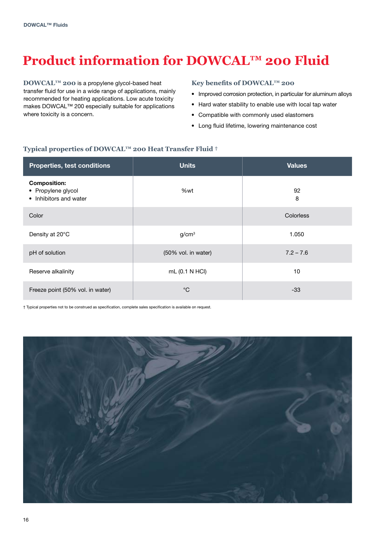# **Product information for DOWCAL™ 200 Fluid**

**DOWCAL™ 200** is a propylene glycol-based heat transfer fluid for use in a wide range of applications, mainly recommended for heating applications. Low acute toxicity makes DOWCAL™ 200 especially suitable for applications where toxicity is a concern.

#### **Key benefits of DOWCAL™ 200**

- Improved corrosion protection, in particular for aluminum alloys
- Hard water stability to enable use with local tap water
- Compatible with commonly used elastomers
- Long fluid lifetime, lowering maintenance cost

#### **Typical properties of DOWCAL™ 200 Heat Transfer Fluid †**

| Properties, test conditions                                         | <b>Units</b>        | <b>Values</b> |
|---------------------------------------------------------------------|---------------------|---------------|
| <b>Composition:</b><br>• Propylene glycol<br>• Inhibitors and water | %wt                 | 92<br>8       |
| Color                                                               |                     | Colorless     |
| Density at 20°C                                                     | g/cm <sup>3</sup>   | 1.050         |
| pH of solution                                                      | (50% vol. in water) | $7.2 - 7.6$   |
| Reserve alkalinity                                                  | mL (0.1 N HCl)      | 10            |
| Freeze point (50% vol. in water)                                    | $^{\circ}C$         | $-33$         |

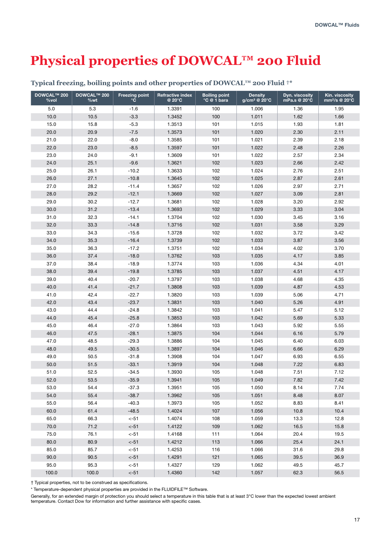## **Physical properties of DOWCAL™ 200 Fluid**

| <b>DOWCAL™ 200</b><br>%vol | <b>DOWCAL™ 200</b><br>%wt | <b>Freezing point</b><br>$\circ$ C | <b>Refractive index</b><br>@ 20°C | <b>Boiling point</b><br>°C @ 1 bara | <b>Density</b><br>g/cm <sup>3</sup> @ 20°C | Dyn. viscosity<br>mPa.s @ 20°C | Kin. viscosity<br>mm <sup>2</sup> /s @ 20°C |
|----------------------------|---------------------------|------------------------------------|-----------------------------------|-------------------------------------|--------------------------------------------|--------------------------------|---------------------------------------------|
| 5.0                        | 5.3                       | $-1.6$                             | 1.3391                            | 100                                 | 1.006                                      | 1.36                           | 1.95                                        |
| 10.0                       | 10.5                      | $-3.3$                             | 1.3452                            | 100                                 | 1.011                                      | 1.62                           | 1.66                                        |
| 15.0                       | 15.8                      | $-5.3$                             | 1.3513                            | 101                                 | 1.015                                      | 1.93                           | 1.81                                        |
| 20.0                       | 20.9                      | $-7.5$                             | 1.3573                            | 101                                 | 1.020                                      | 2.30                           | 2.11                                        |
| 21.0                       | 22.0                      | $-8.0$                             | 1.3585                            | 101                                 | 1.021                                      | 2.39                           | 2.18                                        |
| 22.0                       | 23.0                      | $-8.5$                             | 1.3597                            | 101                                 | 1.022                                      | 2.48                           | 2.26                                        |
| 23.0                       | 24.0                      | $-9.1$                             | 1.3609                            | 101                                 | 1.022                                      | 2.57                           | 2.34                                        |
| 24.0                       | 25.1                      | $-9.6$                             | 1.3621                            | 102                                 | 1.023                                      | 2.66                           | 2.42                                        |
| 25.0                       | 26.1                      | $-10.2$                            | 1.3633                            | 102                                 | 1.024                                      | 2.76                           | 2.51                                        |
| 26.0                       | 27.1                      | $-10.8$                            | 1.3645                            | 102                                 | 1.025                                      | 2.87                           | 2.61                                        |
| 27.0                       | 28.2                      | $-11.4$                            | 1.3657                            | 102                                 | 1.026                                      | 2.97                           | 2.71                                        |
| 28.0                       | 29.2                      | $-12.1$                            | 1.3669                            | 102                                 | 1.027                                      | 3.09                           | 2.81                                        |
| 29.0                       | 30.2                      | $-12.7$                            | 1.3681                            | 102                                 | 1.028                                      | 3.20                           | 2.92                                        |
| 30.0                       | 31.2                      | $-13.4$                            | 1.3693                            | 102                                 | 1.029                                      | 3.33                           | 3.04                                        |
| 31.0                       | 32.3                      | $-14.1$                            | 1.3704                            | 102                                 | 1.030                                      | 3.45                           | 3.16                                        |
| 32.0                       | 33.3                      | $-14.8$                            | 1.3716                            | 102                                 | 1.031                                      | 3.58                           | 3.29                                        |
| 33.0                       | 34.3                      | $-15.6$                            | 1.3728                            | 102                                 | 1.032                                      | 3.72                           | 3.42                                        |
| 34.0                       | 35.3                      | $-16.4$                            | 1.3739                            | 102                                 | 1.033                                      | 3.87                           | 3.56                                        |
| 35.0                       | 36.3                      | $-17.2$                            | 1.3751                            | 102                                 | 1.034                                      | 4.02                           | 3.70                                        |
| 36.0                       | 37.4                      | $-18.0$                            | 1.3762                            | 103                                 | 1.035                                      | 4.17                           | 3.85                                        |
| 37.0                       | 38.4                      | $-18.9$                            | 1.3774                            | 103                                 | 1.036                                      | 4.34                           | 4.01                                        |
| 38.0                       | 39.4                      | $-19.8$                            | 1.3785                            | 103                                 | 1.037                                      | 4.51                           | 4.17                                        |
| 39.0                       | 40.4                      | $-20.7$                            | 1.3797                            | 103                                 | 1.038                                      | 4.68                           | 4.35                                        |
| 40.0                       | 41.4                      | $-21.7$                            | 1.3808                            | 103                                 | 1.039                                      | 4.87                           | 4.53                                        |
| 41.0                       | 42.4                      | $-22.7$                            | 1.3820                            | 103                                 | 1.039                                      | 5.06                           | 4.71                                        |
| 42.0                       | 43.4                      | $-23.7$                            | 1.3831                            | 103                                 | 1.040                                      | 5.26                           | 4.91                                        |
| 43.0                       | 44.4                      | $-24.8$                            | 1.3842                            | 103                                 | 1.041                                      | 5.47                           | 5.12                                        |
| 44.0                       | 45.4                      | $-25.8$                            | 1.3853                            | 103                                 | 1.042                                      | 5.69                           | 5.33                                        |
| 45.0                       | 46.4                      | $-27.0$                            | 1.3864                            | 103                                 | 1.043                                      | 5.92                           | 5.55                                        |
| 46.0                       | 47.5                      | $-28.1$                            | 1.3875                            | 104                                 | 1.044                                      | 6.16                           | 5.79                                        |
| 47.0                       | 48.5                      | $-29.3$                            | 1.3886                            | 104                                 | 1.045                                      | 6.40                           | 6.03                                        |
| 48.0                       | 49.5                      | $-30.5$                            | 1.3897                            | 104                                 | 1.046                                      | 6.66                           | 6.29                                        |
| 49.0                       | 50.5                      | $-31.8$                            | 1.3908                            | 104                                 | 1.047                                      | 6.93                           | 6.55                                        |
| 50.0                       | 51.5                      | $-33.1$                            | 1.3919                            | 104                                 | 1.048                                      | 7.22                           | 6.83                                        |
| 51.0                       | 52.5                      | $-34.5$                            | 1.3930                            | 105                                 | 1.048                                      | 7.51                           | 7.12                                        |
| 52.0                       | 53.5                      | $-35.9$                            | 1.3941                            | 105                                 | 1.049                                      | 7.82                           | 7.42                                        |
| 53.0                       | 54.4                      | $-37.3$                            | 1.3951                            | 105                                 | 1.050                                      | 8.14                           | 7.74                                        |
| 54.0                       | 55.4                      | $-38.7$                            | 1.3962                            | 105                                 | 1.051                                      | 8.48                           | 8.07                                        |
| 55.0                       | 56.4                      | $-40.3$                            | 1.3973                            | 105                                 | 1.052                                      | 8.83                           | 8.41                                        |
| 60.0                       | 61.4                      | $-48.5$                            | 1.4024                            | 107                                 | 1.056                                      | 10.8                           | 10.4                                        |
| 65.0                       | 66.3                      | $< -51$                            | 1.4074                            | 108                                 | 1.059                                      | 13.3                           | 12.8                                        |
| 70.0                       | 71.2                      | $< -51$                            | 1.4122                            | 109                                 | 1.062                                      | 16.5                           | 15.8                                        |
| 75.0                       | 76.1                      | $< -51$                            | 1.4168                            | 111                                 | 1.064                                      | 20.4                           | 19.5                                        |
| 80.0                       | 80.9                      | $< -51$                            | 1.4212                            | 113                                 | 1.066                                      | 25.4                           | 24.1                                        |
| 85.0                       | 85.7                      | $< -51$                            | 1.4253                            | 116                                 | 1.066                                      | 31.6                           | 29.8                                        |
| 90.0                       | 90.5                      | $< -51$                            | 1.4291                            | 121                                 | 1.065                                      | 39.5                           | 36.9                                        |
| 95.0                       | 95.3                      | $< -51$                            | 1.4327                            | 129                                 | 1.062                                      | 49.5                           | 45.7                                        |
| 100.0                      | 100.0                     | $< -51$                            | 1.4360                            | 142                                 | 1.057                                      | 62.3                           | 56.5                                        |

#### **Typical freezing, boiling points and other properties of DOWCAL™ 200 Fluid †\***

† Typical properties, not to be construed as specifications.

\* Temperature-dependent physical properties are provided in the FLUIDFILE™ Software.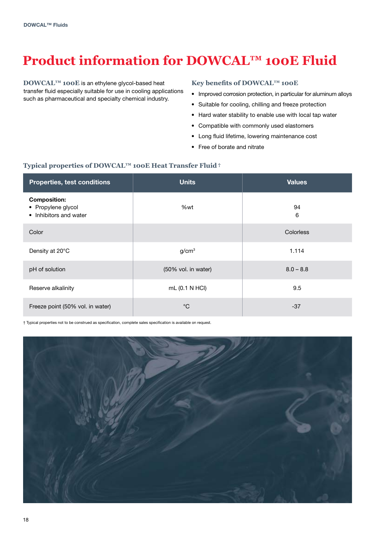## **Product information for DOWCAL™ 100E Fluid**

**DOWCAL™ 100E** is an ethylene glycol-based heat transfer fluid especially suitable for use in cooling applications such as pharmaceutical and specialty chemical industry.

#### **Key benefits of DOWCAL™ 100E**

- Improved corrosion protection, in particular for aluminum alloys
- Suitable for cooling, chilling and freeze protection
- Hard water stability to enable use with local tap water
- Compatible with commonly used elastomers
- Long fluid lifetime, lowering maintenance cost
- Free of borate and nitrate

#### **Typical properties of DOWCAL™ 100E Heat Transfer Fluid†**

| Properties, test conditions                                         | Units               | <b>Values</b> |
|---------------------------------------------------------------------|---------------------|---------------|
| <b>Composition:</b><br>• Propylene glycol<br>• Inhibitors and water | %wt                 | 94<br>6       |
| Color                                                               |                     | Colorless     |
| Density at 20°C                                                     | g/cm <sup>3</sup>   | 1.114         |
| pH of solution                                                      | (50% vol. in water) | $8.0 - 8.8$   |
| Reserve alkalinity                                                  | mL (0.1 N HCl)      | 9.5           |
| Freeze point (50% vol. in water)                                    | $^{\circ}C$         | $-37$         |

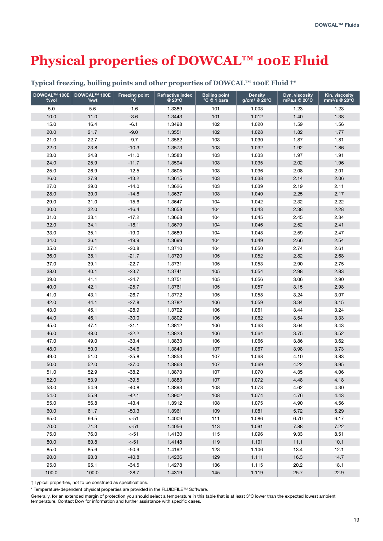## **Physical properties of DOWCAL™ 100E Fluid**

| <b>DOWCAL™ 100E</b><br>%vol | DOWCAL™ 100E<br>%wt | <b>Freezing point</b><br>$^{\circ}$ C | <b>Refractive index</b><br>@ 20°C | <b>Boiling point</b><br>°C @ 1 bara | <b>Density</b><br>g/cm <sup>3</sup> @ 20°C | Dyn. viscosity<br>mPa.s @ 20°C | Kin. viscosity<br>mm <sup>2</sup> /s @ 20°C |
|-----------------------------|---------------------|---------------------------------------|-----------------------------------|-------------------------------------|--------------------------------------------|--------------------------------|---------------------------------------------|
| 5.0                         | 5.6                 | $-1.6$                                | 1.3389                            | 101                                 | 1.003                                      | 1.23                           | 1.23                                        |
| 10.0                        | 11.0                | $-3.6$                                | 1.3443                            | 101                                 | 1.012                                      | 1.40                           | 1.38                                        |
| 15.0                        | 16.4                | $-6.1$                                | 1.3498                            | 102                                 | 1.020                                      | 1.59                           | 1.56                                        |
| 20.0                        | 21.7                | $-9.0$                                | 1.3551                            | 102                                 | 1.028                                      | 1.82                           | 1.77                                        |
| 21.0                        | 22.7                | $-9.7$                                | 1.3562                            | 103                                 | 1.030                                      | 1.87                           | 1.81                                        |
| 22.0                        | 23.8                | $-10.3$                               | 1.3573                            | 103                                 | 1.032                                      | 1.92                           | 1.86                                        |
| 23.0                        | 24.8                | $-11.0$                               | 1.3583                            | 103                                 | 1.033                                      | 1.97                           | 1.91                                        |
| 24.0                        | 25.9                | $-11.7$                               | 1.3594                            | 103                                 | 1.035                                      | 2.02                           | 1.96                                        |
| 25.0                        | 26.9                | $-12.5$                               | 1.3605                            | 103                                 | 1.036                                      | 2.08                           | 2.01                                        |
| 26.0                        | 27.9                | $-13.2$                               | 1.3615                            | 103                                 | 1.038                                      | 2.14                           | 2.06                                        |
| 27.0                        | 29.0                | $-14.0$                               | 1.3626                            | 103                                 | 1.039                                      | 2.19                           | 2.11                                        |
| 28.0                        | 30.0                | $-14.8$                               | 1.3637                            | 103                                 | 1.040                                      | 2.25                           | 2.17                                        |
| 29.0                        | 31.0                | $-15.6$                               | 1.3647                            | 104                                 | 1.042                                      | 2.32                           | 2.22                                        |
| 30.0                        | 32.0                | $-16.4$                               | 1.3658                            | 104                                 | 1.043                                      | 2.38                           | 2.28                                        |
| 31.0                        | 33.1                | $-17.2$                               | 1.3668                            | 104                                 | 1.045                                      | 2.45                           | 2.34                                        |
| 32.0                        | 34.1                | $-18.1$                               | 1.3679                            | 104                                 | 1.046                                      | 2.52                           | 2.41                                        |
| 33.0                        | 35.1                | $-19.0$                               | 1.3689                            | 104                                 | 1.048                                      | 2.59                           | 2.47                                        |
| 34.0                        | 36.1                | $-19.9$                               | 1.3699                            | 104                                 | 1.049                                      | 2.66                           | 2.54                                        |
| 35.0                        | 37.1                | $-20.8$                               | 1.3710                            | 104                                 | 1.050                                      | 2.74                           | 2.61                                        |
| 36.0                        | 38.1                | $-21.7$                               | 1.3720                            | 105                                 | 1.052                                      | 2.82                           | 2.68                                        |
| 37.0                        | 39.1                | $-22.7$                               | 1.3731                            | 105                                 | 1.053                                      | 2.90                           | 2.75                                        |
| 38.0                        | 40.1                | $-23.7$                               | 1.3741                            | 105                                 | 1.054                                      | 2.98                           | 2.83                                        |
| 39.0                        | 41.1                | $-24.7$                               | 1.3751                            | 105                                 | 1.056                                      | 3.06                           | 2.90                                        |
| 40.0                        | 42.1                | $-25.7$                               | 1.3761                            | 105                                 | 1.057                                      | 3.15                           | 2.98                                        |
| 41.0                        | 43.1                | $-26.7$                               | 1.3772                            | 105                                 | 1.058                                      | 3.24                           | 3.07                                        |
| 42.0                        | 44.1                | $-27.8$                               | 1.3782                            | 106                                 | 1.059                                      | 3.34                           | 3.15                                        |
| 43.0                        | 45.1                | $-28.9$                               | 1.3792                            | 106                                 | 1.061                                      | 3.44                           | 3.24                                        |
| 44.0                        | 46.1                | $-30.0$                               | 1.3802                            | 106                                 | 1.062                                      | 3.54                           | 3.33                                        |
| 45.0                        | 47.1                | $-31.1$                               | 1.3812                            | 106                                 | 1.063                                      | 3.64                           | 3.43                                        |
| 46.0                        | 48.0                | $-32.2$                               | 1.3823                            | 106                                 | 1.064                                      | 3.75                           | 3.52                                        |
| 47.0                        | 49.0                | $-33.4$                               | 1.3833                            | 106                                 | 1.066                                      | 3.86                           | 3.62                                        |
| 48.0                        | 50.0                | $-34.6$                               | 1.3843                            | 107                                 | 1.067                                      | 3.98                           | 3.73                                        |
| 49.0                        | 51.0                | $-35.8$                               | 1.3853                            | 107                                 | 1.068                                      | 4.10                           | 3.83                                        |
| 50.0                        | 52.0                | $-37.0$                               | 1.3863                            | 107                                 | 1.069                                      | 4.22                           | 3.95                                        |
| 51.0                        | 52.9                | $-38.2$                               | 1.3873                            | 107                                 | 1.070                                      | 4.35                           | 4.06                                        |
| 52.0                        | 53.9                | $-39.5$                               | 1.3883                            | 107                                 | 1.072                                      | 4.48                           | 4.18                                        |
| 53.0                        | 54.9                | -40.8                                 | 1.3893                            | 108                                 | 1.073                                      | 4.62                           | 4.30                                        |
| 54.0                        | 55.9                | $-42.1$                               | 1.3902                            | 108                                 | 1.074                                      | 4.76                           | 4.43                                        |
| 55.0                        | 56.8                | $-43.4$                               | 1.3912                            | 108                                 | 1.075                                      | 4.90                           | 4.56                                        |
| 60.0                        | 61.7                | $-50.3$                               | 1.3961                            | 109                                 | 1.081                                      | 5.72                           | 5.29                                        |
| 65.0                        | 66.5                | $< -51$                               | 1.4009                            | 111                                 | 1.086                                      | 6.70                           | 6.17                                        |
| 70.0                        | 71.3                | $< -51$                               | 1.4056                            | 113                                 | 1.091                                      | 7.88                           | 7.22                                        |
| 75.0                        | 76.0                | $< -51$                               | 1.4130                            | 115                                 | 1.096                                      | 9.33                           | 8.51                                        |
| 80.0                        | 80.8                | $< -51$                               | 1.4148                            | 119                                 | 1.101                                      | 11.1                           | 10.1                                        |
| 85.0                        | 85.6                | $-50.9$                               | 1.4192                            | 123                                 | 1.106                                      | 13.4                           | 12.1                                        |
| 90.0                        | 90.3                | $-40.8$                               | 1.4236                            | 129                                 | 1.111                                      | 16.3                           | 14.7                                        |
| 95.0                        | 95.1                | $-34.5$                               | 1.4278                            | 136                                 | 1.115                                      | 20.2                           | 18.1                                        |
| 100.0                       | 100.0               | $-28.7$                               | 1.4319                            | 145                                 | 1.119                                      | 25.7                           | 22.9                                        |

#### **Typical freezing, boiling points and other properties of DOWCAL™ 100E Fluid †\***

† Typical properties, not to be construed as specifications.

\* Temperature-dependent physical properties are provided in the FLUIDFILE™ Software.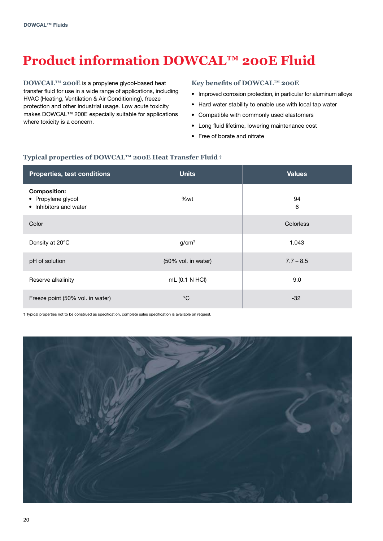# **Product information DOWCAL™ 200E Fluid**

**DOWCAL™ 200E** is a propylene glycol-based heat transfer fluid for use in a wide range of applications, including HVAC (Heating, Ventilation & Air Conditioning), freeze protection and other industrial usage. Low acute toxicity makes DOWCAL™ 200E especially suitable for applications where toxicity is a concern.

#### **Key benefits of DOWCAL™ 200E**

- Improved corrosion protection, in particular for aluminum alloys
- Hard water stability to enable use with local tap water
- Compatible with commonly used elastomers
- Long fluid lifetime, lowering maintenance cost
- Free of borate and nitrate

#### **Typical properties of DOWCAL™ 200E Heat Transfer Fluid†**

| Properties, test conditions                                         | <b>Units</b>        | <b>Values</b>    |
|---------------------------------------------------------------------|---------------------|------------------|
| <b>Composition:</b><br>• Propylene glycol<br>• Inhibitors and water | %wt                 | 94<br>6          |
| Color                                                               |                     | <b>Colorless</b> |
| Density at 20°C                                                     | g/cm <sup>3</sup>   | 1.043            |
| pH of solution                                                      | (50% vol. in water) | $7.7 - 8.5$      |
| Reserve alkalinity                                                  | mL (0.1 N HCI)      | 9.0              |
| Freeze point (50% vol. in water)                                    | $^{\circ}$ C        | $-32$            |

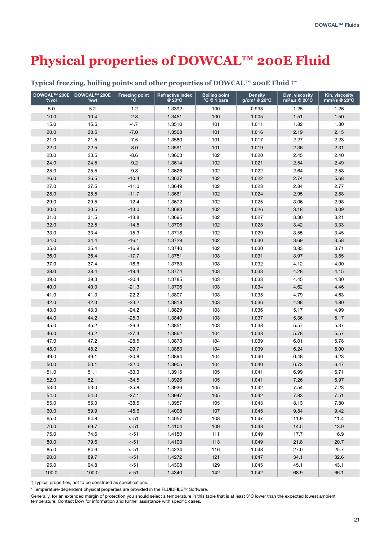## **Physical properties of DOWCAL™ 200E Fluid**

| <b>DOWCAL™ 200E</b><br>%vol | <b>DOWCAL™ 200E</b><br>%wt | <b>Freezing point</b><br>°C | <b>Refractive index</b><br>@ 20°C | <b>Boiling point</b><br>°C @ 1 bara | <b>Density</b><br>g/cm <sup>3</sup> @ 20°C | Dyn. viscosity<br>mPa.s @ 20°C | Kin. viscosity<br>mm <sup>2</sup> /s @ 20°C |
|-----------------------------|----------------------------|-----------------------------|-----------------------------------|-------------------------------------|--------------------------------------------|--------------------------------|---------------------------------------------|
| 5.0                         | 5.2                        | $-1.2$                      | 1.3392                            | 100                                 | 0.998                                      | 1.25                           | 1.26                                        |
| 10.0                        | 10.4                       | $-2.8$                      | 1.3451                            | 100                                 | 1.005                                      | 1.51                           | 1.50                                        |
| 15.0                        | 15.5                       | $-4.7$                      | 1.3510                            | 101                                 | 1.011                                      | 1.82                           | 1.80                                        |
| 20.0                        | 20.5                       | $-7.0$                      | 1.3568                            | 101                                 | 1.016                                      | 2.19                           | 2.15                                        |
| 21.0                        | 21.5                       | $-7.5$                      | 1.3580                            | 101                                 | 1.017                                      | 2.27                           | 2.23                                        |
| 22.0                        | 22.5                       | $-8.0$                      | 1.3591                            | 101                                 | 1.019                                      | 2.36                           | 2.31                                        |
| 23.0                        | 23.5                       | $-8.6$                      | 1.3603                            | 102                                 | 1.020                                      | 2.45                           | 2.40                                        |
| 24.0                        | 24.5                       | $-9.2$                      | 1.3614                            | 102                                 | 1.021                                      | 2.54                           | 2.49                                        |
| 25.0                        | 25.5                       | $-9.8$                      | 1.3626                            | 102                                 | 1.022                                      | 2.64                           | 2.58                                        |
| 26.0                        | 26.5                       | $-10.4$                     | 1.3637                            | 102                                 | 1.022                                      | 2.74                           | 5.68                                        |
| 27.0                        | 27.5                       | $-11.0$                     | 1.3649                            | 102                                 | 1.023                                      | 2.84                           | 2.77                                        |
| 28.0                        | 28.5                       | $-11.7$                     | 1.3661                            | 102                                 | 1.024                                      | 2.95                           | 2.88                                        |
| 29.0                        | 29.5                       | $-12.4$                     | 1.3672                            | 102                                 | 1.025                                      | 3.06                           | 2.98                                        |
| 30.0                        | 30.5                       | $-13.0$                     | 1.3683                            | 102                                 | 1.026                                      | 3.18                           | 3.09                                        |
| 31.0                        | 31.5                       | $-13.8$                     | 1.3695                            | 102                                 | 1.027                                      | 3.30                           | 3.21                                        |
| 32.0                        | 32.5                       | $-14.5$                     | 1.3706                            | 102                                 | 1.028                                      | 3.42                           | 3.33                                        |
| 33.0                        | 33.4                       | $-15.3$                     | 1.3718                            | 102                                 | 1.029                                      | 3.55                           | 3.45                                        |
| 34.0                        | 34.4                       | $-16.1$                     | 1.3729                            | 102                                 | 1.030                                      | 3.69                           | 3.58                                        |
| 35.0                        | 35.4                       | $-16.9$                     | 1.3740                            | 102                                 | 1.030                                      | 3.83                           | 3.71                                        |
| 36.0                        | 36.4                       | $-17.7$                     | 1.3751                            | 103                                 | 1.031                                      | 3.97                           | 3.85                                        |
| 37.0                        | 37.4                       | $-18.6$                     | 1.3763                            | 103                                 | 1.032                                      | 4.12                           | 4.00                                        |
| 38.0                        | 38.4                       | $-19.4$                     | 1.3774                            | 103                                 | 1.033                                      | 4.28                           | 4.15                                        |
| 39.0                        | 39.3                       | $-20.4$                     | 1.3785                            | 103                                 | 1.033                                      | 4.45                           | 4.30                                        |
| 40.0                        | 40.3                       | $-21.3$                     | 1.3796                            | 103                                 | 1.034                                      | 4.62                           | 4.46                                        |
| 41.0                        | 41.3                       | $-22.2$                     | 1.3807                            | 103                                 | 1.035                                      | 4.79                           | 4.63                                        |
| 42.0                        | 42.3                       | $-23.2$                     | 1.3818                            | 103                                 | 1.036                                      | 4.98                           | 4.80                                        |
| 43.0                        | 43.3                       | $-24.2$                     | 1.3829                            | 103                                 | 1.036                                      | 5.17                           | 4.99                                        |
| 44.0                        | 44.2                       | $-25.3$                     | 1.3840                            | 103                                 | 1.037                                      | 5.36                           | 5.17                                        |
| 45.0                        | 45.2                       | $-26.3$                     | 1.3851                            | 103                                 | 1.038                                      | 5.57                           | 5.37                                        |
| 46.0                        | 46.2                       | $-27.4$                     | 1.3862                            | 104                                 | 1.038                                      | 5.78                           | 5.57                                        |
| 47.0                        | 47.2                       | $-28.5$                     | 1.3873                            | 104                                 | 1.039                                      | 6.01                           | 5.78                                        |
| 48.0                        | 48.2                       | $-29.7$                     | 1.3883                            | 104                                 | 1.039                                      | 6.24                           | 6.00                                        |
| 49.0                        | 49.1                       | $-30.8$                     | 1.3894                            | 104                                 | 1.040                                      | 6.48                           | 6.23                                        |
| 50.0                        | 50.1                       | $-32.0$                     | 1.3905                            | 104                                 | 1.040                                      | 6.73                           | 6.47                                        |
| 51.0                        | 51.1                       | $-33.3$                     | 1.3915                            | 105                                 | 1.041                                      | 6.99                           | 6.71                                        |
| 52.0                        | 52.1                       | $-34.5$                     | 1.3926                            | 105                                 | 1.041                                      | 7.26                           | 6.97                                        |
| 53.0                        | 53.0                       | $-35.8$                     | 1.3936                            | 105                                 | 1.042                                      | 7.54                           | 7.23                                        |
| 54.0                        | 54.0                       | $-37.1$                     | 1.3947                            | 105                                 | 1.042                                      | 7.83                           | 7.51                                        |
| 55.0                        | 55.0                       | $-38.5$                     | 1.3957                            | 105                                 | 1.043                                      | 8.13                           | 7.80                                        |
| 60.0                        | 59.9                       | $-45.6$                     | 1.4008                            | 107                                 | 1.045                                      | 9.84                           | 9.42                                        |
| 65.0                        | 64.8                       | $< -51$                     | 1.4057                            | 108                                 | 1.047                                      | 11.9                           | 11.4                                        |
| 70.0                        | 69.7                       | $< -51$                     | 1.4104                            | 109                                 | 1.048                                      | 14.5                           | 13.9                                        |
| 75.0                        | 74.6                       | $< -51$                     | 1.4150                            | 111                                 | 1.049                                      | 17.7                           | 16.9                                        |
| 80.0                        | 79.6                       | $< -51$                     | 1.4193                            | 113                                 | 1.049                                      | 21.8                           | 20.7                                        |
| 85.0                        | 84.6                       | $< -51$                     | 1.4234                            | 116                                 | 1.048                                      | 27.0                           | 25.7                                        |
| 90.0                        | 89.7                       | $< -51$                     | 1.4272                            | 121                                 | 1.047                                      | 34.1                           | 32.6                                        |
| 95.0                        | 94.8                       | $< -51$                     | 1.4308                            | 129                                 | 1.045                                      | 45.1                           | 43.1                                        |
| 100.0                       | 100.0                      | $< -51$                     | 1.4340                            | 142                                 | 1.042                                      | 68.9                           | 66.1                                        |

#### **Typical freezing, boiling points and other properties of DOWCAL™ 200E Fluid †\***

† Typical properties, not to be construed as specifications.

\* Temperature-dependent physical properties are provided in the FLUIDFILE™ Software.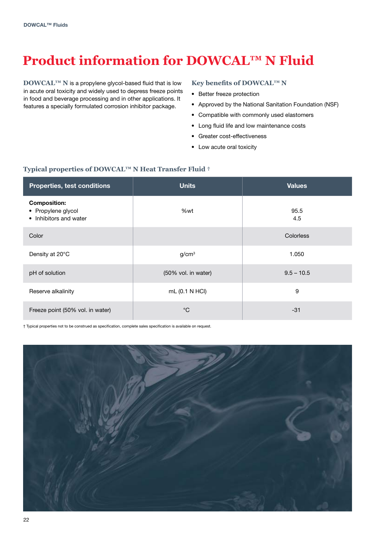# **Product information for DOWCAL™ N Fluid**

**DOWCAL™ N** is a propylene glycol-based fluid that is low in acute oral toxicity and widely used to depress freeze points in food and beverage processing and in other applications. It features a specially formulated corrosion inhibitor package.

#### **Key benefits of DOWCAL™ N**

- Better freeze protection
- Approved by the National Sanitation Foundation (NSF)
- Compatible with commonly used elastomers
- Long fluid life and low maintenance costs
- Greater cost-effectiveness
- Low acute oral toxicity

#### **Typical properties of DOWCAL™ N Heat Transfer Fluid †**

| <b>Properties, test conditions</b>                                  | <b>Units</b>        | <b>Values</b>    |
|---------------------------------------------------------------------|---------------------|------------------|
| <b>Composition:</b><br>• Propylene glycol<br>• Inhibitors and water | %wt                 | 95.5<br>4.5      |
| Color                                                               |                     | <b>Colorless</b> |
| Density at 20°C                                                     | g/cm <sup>3</sup>   | 1.050            |
| pH of solution                                                      | (50% vol. in water) | $9.5 - 10.5$     |
| Reserve alkalinity                                                  | mL (0.1 N HCI)      | 9                |
| Freeze point (50% vol. in water)                                    | $^{\circ}C$         | $-31$            |

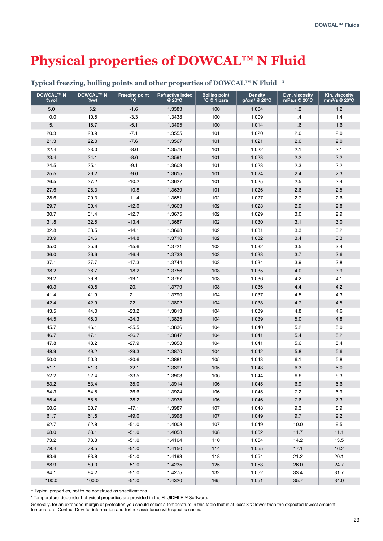## **Physical properties of DOWCAL™ N Fluid**

| <b>DOWCAL™ N</b><br>%vol | <b>DOWCAL™ N</b><br>%wt | <b>Freezing point</b><br>°C | <b>Refractive index</b><br>@ 20°C | <b>Boiling point</b><br>°C @ 1 bara | <b>Density</b><br>$g/cm^3$ @ 20 $^{\circ}$ C | Dyn. viscosity<br>mPa.s @ 20°C | Kin. viscosity<br>mm <sup>2</sup> /s @ 20°C |
|--------------------------|-------------------------|-----------------------------|-----------------------------------|-------------------------------------|----------------------------------------------|--------------------------------|---------------------------------------------|
| 5.0                      | 5.2                     | $-1.6$                      | 1.3383                            | 100                                 | 1.004                                        | 1.2                            | 1.2                                         |
| 10.0                     | 10.5                    | $-3.3$                      | 1.3438                            | 100                                 | 1.009                                        | 1.4                            | 1.4                                         |
| 15.1                     | 15.7                    | $-5.1$                      | 1.3495                            | 100                                 | 1.014                                        | 1.6                            | 1.6                                         |
| 20.3                     | 20.9                    | $-7.1$                      | 1.3555                            | 101                                 | 1.020                                        | 2.0                            | 2.0                                         |
| 21.3                     | 22.0                    | $-7.6$                      | 1.3567                            | 101                                 | 1.021                                        | 2.0                            | 2.0                                         |
| 22.4                     | 23.0                    | $-8.0$                      | 1.3579                            | 101                                 | 1.022                                        | 2.1                            | 2.1                                         |
| 23.4                     | 24.1                    | $-8.6$                      | 1.3591                            | 101                                 | 1.023                                        | 2.2                            | 2.2                                         |
| 24.5                     | 25.1                    | $-9.1$                      | 1.3603                            | 101                                 | 1.023                                        | 2.3                            | 2.2                                         |
| 25.5                     | 26.2                    | $-9.6$                      | 1.3615                            | 101                                 | 1.024                                        | 2.4                            | 2.3                                         |
| 26.5                     | 27.2                    | $-10.2$                     | 1.3627                            | 101                                 | 1.025                                        | 2.5                            | 2.4                                         |
| 27.6                     | 28.3                    | $-10.8$                     | 1.3639                            | 101                                 | 1.026                                        | 2.6                            | 2.5                                         |
| 28.6                     | 29.3                    | $-11.4$                     | 1.3651                            | 102                                 | 1.027                                        | 2.7                            | 2.6                                         |
| 29.7                     | 30.4                    | $-12.0$                     | 1.3663                            | 102                                 | 1.028                                        | 2.9                            | 2.8                                         |
| 30.7                     | 31.4                    | $-12.7$                     | 1.3675                            | 102                                 | 1.029                                        | 3.0                            | 2.9                                         |
| 31.8                     | 32.5                    | $-13.4$                     | 1.3687                            | 102                                 | 1.030                                        | 3.1                            | 3.0                                         |
| 32.8                     | 33.5                    | $-14.1$                     | 1.3698                            | 102                                 | 1.031                                        | 3.3                            | 3.2                                         |
| 33.9                     | 34.6                    | $-14.8$                     | 1.3710                            | 102                                 | 1.032                                        | 3.4                            | 3.3                                         |
| 35.0                     | 35.6                    | $-15.6$                     | 1.3721                            | 102                                 | 1.032                                        | 3.5                            | 3.4                                         |
| 36.0                     | 36.6                    | $-16.4$                     | 1.3733                            | 103                                 | 1.033                                        | 3.7                            | 3.6                                         |
| 37.1                     | 37.7                    | $-17.3$                     | 1.3744                            | 103                                 | 1.034                                        | 3.9                            | 3.8                                         |
| 38.2                     | 38.7                    | $-18.2$                     | 1.3756                            | 103                                 | 1.035                                        | $4.0\,$                        | 3.9                                         |
| 39.2                     | 39.8                    | $-19.1$                     | 1.3767                            | 103                                 | 1.036                                        | 4.2                            | 4.1                                         |
| 40.3                     | 40.8                    | $-20.1$                     | 1.3779                            | 103                                 | 1.036                                        | 4.4                            | 4.2                                         |
| 41.4                     | 41.9                    | $-21.1$                     | 1.3790                            | 104                                 | 1.037                                        | 4.5                            | 4.3                                         |
| 42.4                     | 42.9                    | $-22.1$                     | 1.3802                            | 104                                 | 1.038                                        | 4.7                            | 4.5                                         |
| 43.5                     | 44.0                    | $-23.2$                     | 1.3813                            | 104                                 | 1.039                                        | 4.8                            | 4.6                                         |
| 44.5                     | 45.0                    | $-24.3$                     | 1.3825                            | 104                                 | 1.039                                        | $5.0$                          | 4.8                                         |
| 45.7                     | 46.1                    | $-25.5$                     | 1.3836                            | 104                                 | 1.040                                        | 5.2                            | 5.0                                         |
| 46.7                     | 47.1                    | $-26.7$                     | 1.3847                            | 104                                 | 1.041                                        | 5.4                            | 5.2                                         |
| 47.8                     | 48.2                    | $-27.9$                     | 1.3858                            | 104                                 | 1.041                                        | 5.6                            | 5.4                                         |
| 48.9                     | 49.2                    | $-29.3$                     | 1.3870                            | 104                                 | 1.042                                        | $5.8\,$                        | 5.6                                         |
| 50.0                     | 50.3                    | $-30.6$                     | 1.3881                            | 105                                 | 1.043                                        | 6.1                            | 5.8                                         |
| 51.1                     | 51.3                    | $-32.1$                     | 1.3892                            | 105                                 | 1.043                                        | 6.3                            | 6.0                                         |
| 52.2                     | 52.4                    | $-33.5$                     | 1.3903                            | 106                                 | 1.044                                        | 6.6                            | 6.3                                         |
| 53.2                     | 53.4                    | $-35.0$                     | 1.3914                            | 106                                 | 1.045                                        | 6.9                            | 6.6                                         |
| 54.3                     | 54.5                    | $-36.6$                     | 1.3924                            | 106                                 | 1.045                                        | 7.2                            | 6.9                                         |
| 55.4                     | 55.5                    | $-38.2$                     | 1.3935                            | 106                                 | 1.046                                        | 7.6                            | 7.3                                         |
| 60.6                     | 60.7                    | $-47.1$                     | 1.3987                            | 107                                 | 1.048                                        | 9.3                            | 8.9                                         |
| 61.7                     | 61.8                    | $-49.0$                     | 1.3998                            | 107                                 | 1.049                                        | 9.7                            | 9.2                                         |
| 62.7                     | 62.8                    | $-51.0$                     | 1.4008                            | 107                                 | 1.049                                        | 10.0                           | 9.5                                         |
| 68.0                     | 68.1                    | $-51.0$                     | 1.4058                            | 108                                 | 1.052                                        | 11.7                           | 11.1                                        |
| 73.2                     | 73.3                    | $-51.0$                     | 1.4104                            | 110                                 | 1.054                                        | 14.2                           | 13.5                                        |
| 78.4                     | 78.5                    | $-51.0$                     | 1.4150                            | 114                                 | 1.055                                        | 17.1                           | 16.2                                        |
| 83.6                     | 83.8                    | $-51.0$                     | 1.4193                            | 118                                 | 1.054                                        | 21.2                           | 20.1                                        |
| 88.9                     | 89.0                    | $-51.0$                     | 1.4235                            | 125                                 | 1.053                                        | 26.0                           | 24.7                                        |
| 94.1                     | 94.2                    | $-51.0$                     | 1.4275                            | 132                                 | 1.052                                        | 33.4                           | 31.7                                        |
| 100.0                    | 100.0                   | $-51.0$                     | 1.4320                            | 165                                 | 1.051                                        | 35.7                           | 34.0                                        |

#### **Typical freezing, boiling points and other properties of DOWCAL™ N Fluid †\***

† Typical properties, not to be construed as specifications.

\* Temperature-dependent physical properties are provided in the FLUIDFILE™ Software.